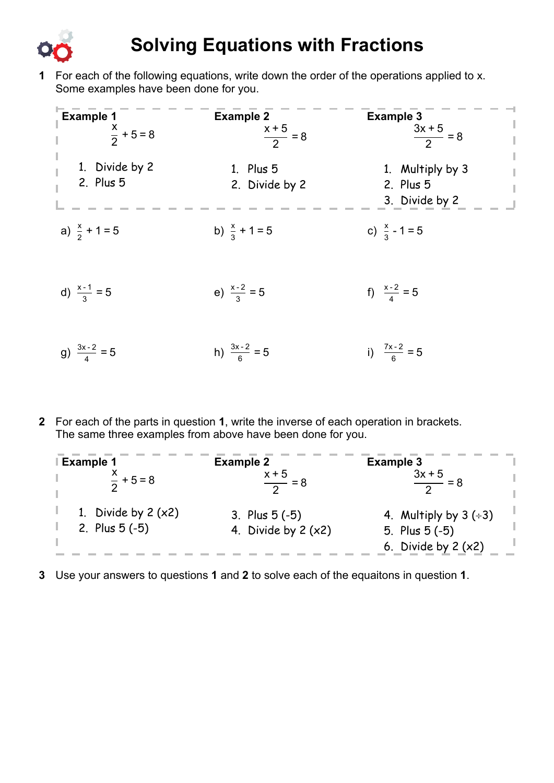

## **Solving Equations with Fractions**

**1** For each of the following equations, write down the order of the operations applied to x. Some examples have been done for you.

| <b>Example 1</b><br>$\frac{x}{2} + 5 = 8$ | <b>Example 2</b><br>$\frac{x+5}{2} = 8$ | <b>Example 3</b><br>$\frac{3x+5}{2} = 8$                                                 |
|-------------------------------------------|-----------------------------------------|------------------------------------------------------------------------------------------|
| 1. Divide by 2<br>2. Plus 5               | 1. Plus 5<br>2. Divide by 2             | $\begin{array}{c} 1 \\ 1 \end{array}$<br>1. Multiply by 3<br>2. Plus 5<br>3. Divide by 2 |
| a) $\frac{x}{2}$ + 1 = 5                  | b) $\frac{x}{3} + 1 = 5$                | c) $\frac{x}{3}$ - 1 = 5                                                                 |
| d) $\frac{x-1}{3} = 5$                    | e) $\frac{x-2}{3} = 5$                  | f) $\frac{x-2}{4} = 5$                                                                   |
| g) $\frac{3x-2}{4} = 5$                   | h) $\frac{3x-2}{6} = 5$                 | i) $\frac{7x-2}{6} = 5$                                                                  |

**2** For each of the parts in question **1**, write the inverse of each operation in brackets. The same three examples from above have been done for you.

| <b>Example 1</b>      | <b>Example 2</b>     | <b>Example 3</b>        |
|-----------------------|----------------------|-------------------------|
| $\frac{x}{2}$ + 5 = 8 | $\frac{x+5}{2} = 8$  | $3x + 5$                |
| 1. Divide by $2(x2)$  | 3. Plus $5(-5)$      | 4. Multiply by $3 (+3)$ |
| 2. Plus $5(-5)$       | 4. Divide by $2(x2)$ | 5. Plus $5(-5)$         |
|                       |                      | 6. Divide by $2(x2)$    |

**3** Use your answers to questions **1** and **2** to solve each of the equaitons in question **1**.